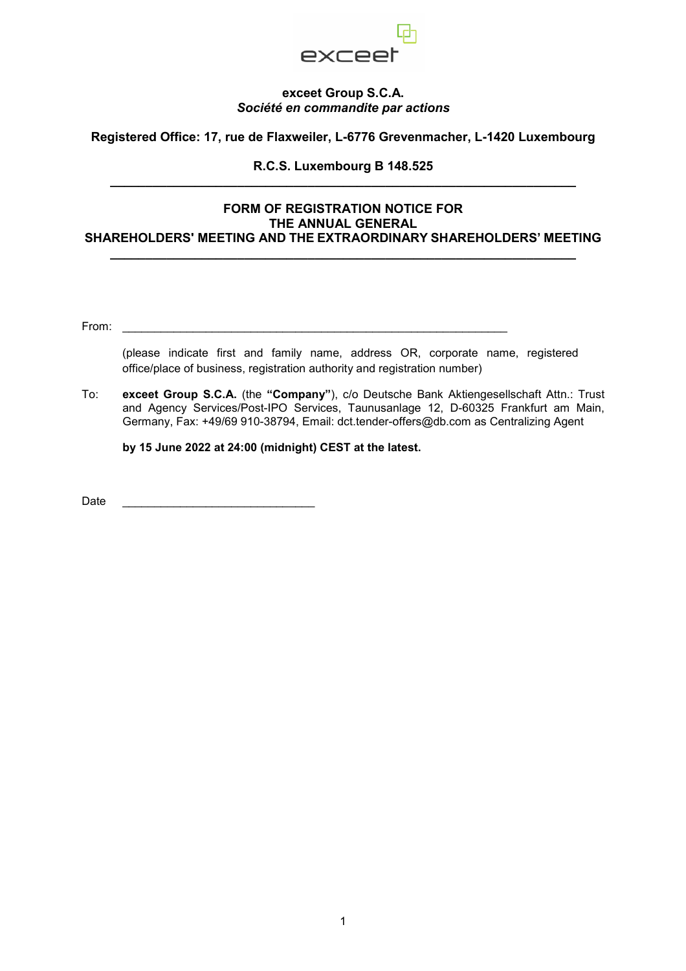

## **exceet Group S.C.A.**  *Société en commandite par actions*

**Registered Office: 17, rue de Flaxweiler, L-6776 Grevenmacher, L-1420 Luxembourg** 

## **R.C.S. Luxembourg B 148.525 \_\_\_\_\_\_\_\_\_\_\_\_\_\_\_\_\_\_\_\_\_\_\_\_\_\_\_\_\_\_\_\_\_\_\_\_\_\_\_\_\_\_\_\_\_\_\_\_\_\_\_\_\_\_\_\_\_\_\_\_\_\_\_\_\_\_**

## **FORM OF REGISTRATION NOTICE FOR THE ANNUAL GENERAL SHAREHOLDERS' MEETING AND THE EXTRAORDINARY SHAREHOLDERS' MEETING**

**\_\_\_\_\_\_\_\_\_\_\_\_\_\_\_\_\_\_\_\_\_\_\_\_\_\_\_\_\_\_\_\_\_\_\_\_\_\_\_\_\_\_\_\_\_\_\_\_\_\_\_\_\_\_\_\_\_\_\_\_\_\_\_\_\_\_** 

From: \_\_\_\_\_\_\_\_\_\_\_\_\_\_\_\_\_\_\_\_\_\_\_\_\_\_\_\_\_\_\_\_\_\_\_\_\_\_\_\_\_\_\_\_\_\_\_\_\_\_\_\_\_\_\_\_\_\_\_\_

(please indicate first and family name, address OR, corporate name, registered office/place of business, registration authority and registration number)

To: **exceet Group S.C.A.** (the **"Company"**), c/o Deutsche Bank Aktiengesellschaft Attn.: Trust and Agency Services/Post-IPO Services, Taunusanlage 12, D-60325 Frankfurt am Main, Germany, Fax: +49/69 910-38794, Email: dct.tender-offers@db.com as Centralizing Agent

**by 15 June 2022 at 24:00 (midnight) CEST at the latest.** 

Date \_\_\_\_\_\_\_\_\_\_\_\_\_\_\_\_\_\_\_\_\_\_\_\_\_\_\_\_\_\_